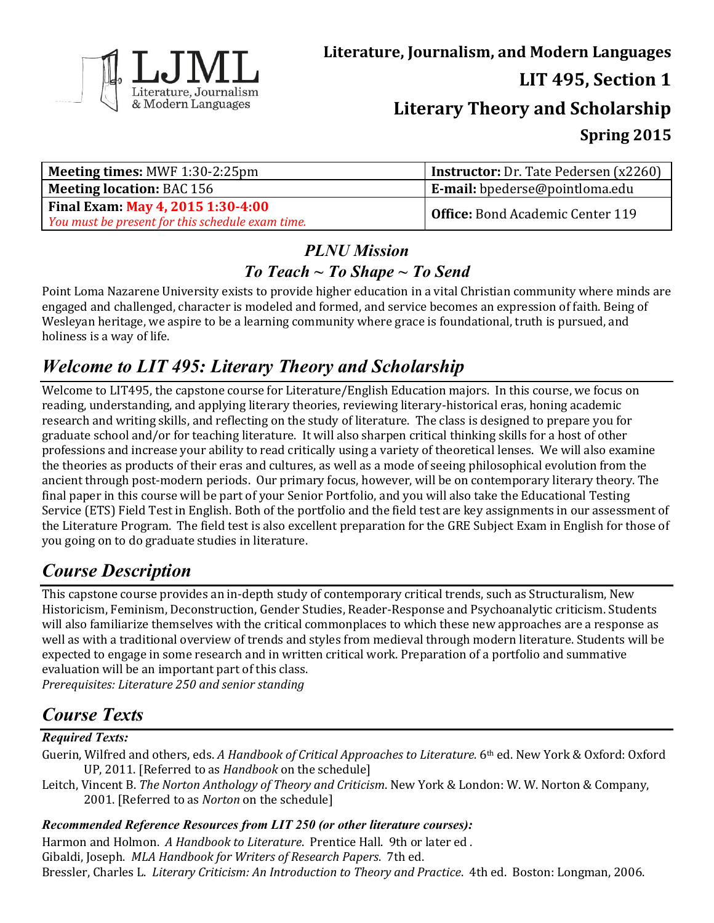

| <b>Meeting times: MWF 1:30-2:25pm</b>            | Instructor: Dr. Tate Pedersen (x2260)   |  |  |
|--------------------------------------------------|-----------------------------------------|--|--|
| <b>Meeting location: BAC 156</b>                 | <b>E-mail:</b> bpederse@pointloma.edu   |  |  |
| Final Exam: May 4, 2015 1:30-4:00                | <b>Office:</b> Bond Academic Center 119 |  |  |
| You must be present for this schedule exam time. |                                         |  |  |

### *PLNU Mission To Teach ~ To Shape ~ To Send*

Point Loma Nazarene University exists to provide higher education in a vital Christian community where minds are engaged and challenged, character is modeled and formed, and service becomes an expression of faith. Being of Wesleyan heritage, we aspire to be a learning community where grace is foundational, truth is pursued, and holiness is a way of life.

# *Welcome to LIT 495: Literary Theory and Scholarship*

Welcome to LIT495, the capstone course for Literature/English Education majors. In this course, we focus on reading, understanding, and applying literary theories, reviewing literary-historical eras, honing academic research and writing skills, and reflecting on the study of literature. The class is designed to prepare you for graduate school and/or for teaching literature. It will also sharpen critical thinking skills for a host of other professions and increase your ability to read critically using a variety of theoretical lenses. We will also examine the theories as products of their eras and cultures, as well as a mode of seeing philosophical evolution from the ancient through post-modern periods. Our primary focus, however, will be on contemporary literary theory. The final paper in this course will be part of your Senior Portfolio, and you will also take the Educational Testing Service (ETS) Field Test in English. Both of the portfolio and the field test are key assignments in our assessment of the Literature Program. The field test is also excellent preparation for the GRE Subject Exam in English for those of you going on to do graduate studies in literature.

## *Course Description*

This capstone course provides an in-depth study of contemporary critical trends, such as Structuralism, New Historicism, Feminism, Deconstruction, Gender Studies, Reader-Response and Psychoanalytic criticism. Students will also familiarize themselves with the critical commonplaces to which these new approaches are a response as well as with a traditional overview of trends and styles from medieval through modern literature. Students will be expected to engage in some research and in written critical work. Preparation of a portfolio and summative evaluation will be an important part of this class. *Prerequisites: Literature 250 and senior standing*

# *Course Texts*

### *Required Texts:*

- Guerin, Wilfred and others, eds. *A Handbook of Critical Approaches to Literature.* 6<sup>th</sup> ed. New York & Oxford: Oxford UP, 2011. [Referred to as *Handbook* on the schedule]
- Leitch, Vincent B. *The Norton Anthology of Theory and Criticism*. New York & London: W. W. Norton & Company, 2001. [Referred to as *Norton* on the schedule]

### *Recommended Reference Resources from LIT 250 (or other literature courses):*

Harmon and Holmon. *A Handbook to Literature*. Prentice Hall. 9th or later ed . Gibaldi, Joseph. *MLA Handbook for Writers of Research Papers*. 7th ed.

Bressler, Charles L. *Literary Criticism: An Introduction to Theory and Practice*. 4th ed. Boston: Longman, 2006.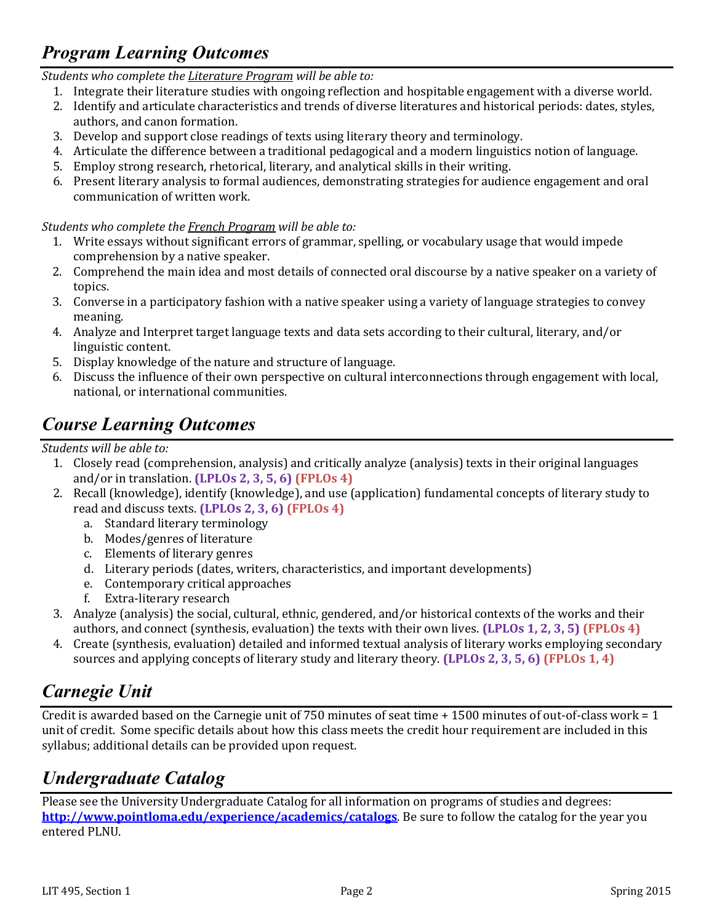## *Program Learning Outcomes*

*Students who complete the Literature Program will be able to:*

- 1. Integrate their literature studies with ongoing reflection and hospitable engagement with a diverse world.
- 2. Identify and articulate characteristics and trends of diverse literatures and historical periods: dates, styles, authors, and canon formation.
- 3. Develop and support close readings of texts using literary theory and terminology.
- 4. Articulate the difference between a traditional pedagogical and a modern linguistics notion of language.
- 5. Employ strong research, rhetorical, literary, and analytical skills in their writing.
- 6. Present literary analysis to formal audiences, demonstrating strategies for audience engagement and oral communication of written work.

#### *Students who complete the French Program will be able to:*

- 1. Write essays without significant errors of grammar, spelling, or vocabulary usage that would impede comprehension by a native speaker.
- 2. Comprehend the main idea and most details of connected oral discourse by a native speaker on a variety of topics.
- 3. Converse in a participatory fashion with a native speaker using a variety of language strategies to convey meaning.
- 4. Analyze and Interpret target language texts and data sets according to their cultural, literary, and/or linguistic content.
- 5. Display knowledge of the nature and structure of language.
- 6. Discuss the influence of their own perspective on cultural interconnections through engagement with local, national, or international communities.

## *Course Learning Outcomes*

*Students will be able to:*

- 1. Closely read (comprehension, analysis) and critically analyze (analysis) texts in their original languages and/or in translation. **(LPLOs 2, 3, 5, 6) (FPLOs 4)**
- 2. Recall (knowledge), identify (knowledge), and use (application) fundamental concepts of literary study to read and discuss texts. **(LPLOs 2, 3, 6) (FPLOs 4)**
	- a. Standard literary terminology
	- b. Modes/genres of literature
	- c. Elements of literary genres
	- d. Literary periods (dates, writers, characteristics, and important developments)
	- e. Contemporary critical approaches
	- f. Extra-literary research
- 3. Analyze (analysis) the social, cultural, ethnic, gendered, and/or historical contexts of the works and their authors, and connect (synthesis, evaluation) the texts with their own lives. **(LPLOs 1, 2, 3, 5) (FPLOs 4)**
- 4. Create (synthesis, evaluation) detailed and informed textual analysis of literary works employing secondary sources and applying concepts of literary study and literary theory. **(LPLOs 2, 3, 5, 6) (FPLOs 1, 4)**

## *Carnegie Unit*

Credit is awarded based on the Carnegie unit of 750 minutes of seat time + 1500 minutes of out-of-class work = 1 unit of credit. Some specific details about how this class meets the credit hour requirement are included in this syllabus; additional details can be provided upon request.

## *Undergraduate Catalog*

Please see the University Undergraduate Catalog for all information on programs of studies and degrees: **<http://www.pointloma.edu/experience/academics/catalogs>**. Be sure to follow the catalog for the year you entered PLNU.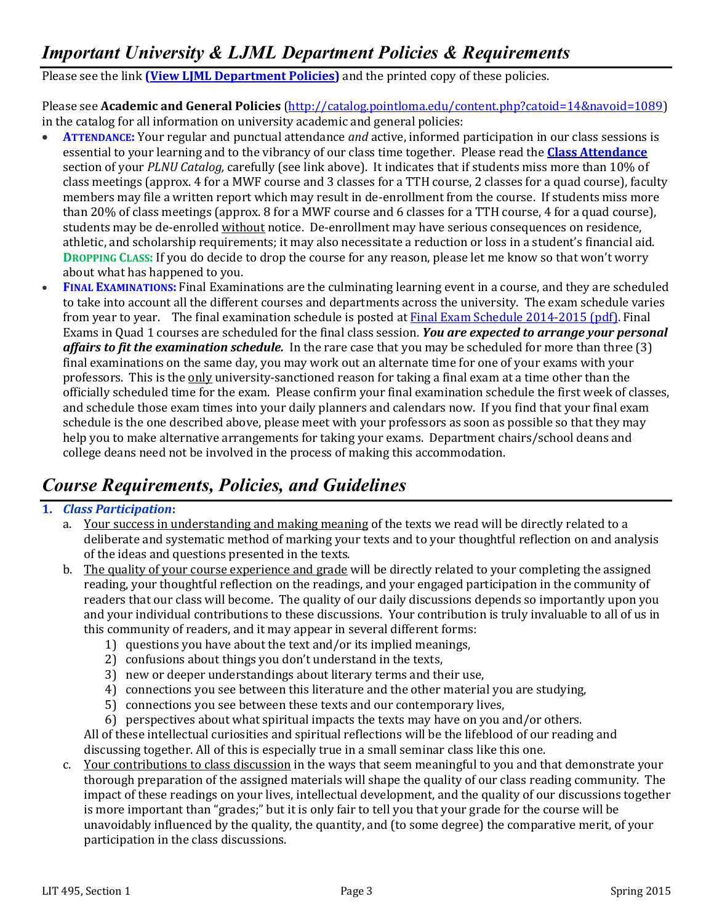## *Important University & LJML Department Policies & Requirements*

Please see the link **(View LJML [Department](http://www.pointloma.edu/sites/default/files/filemanager/Literature_Journalism__Modern_Languages/LJML_Department_Syllabus_Statments_final_1.docx) Policies)** and the printed copy of these policies.

Please see **Academic and General Policies** [\(http://catalog.pointloma.edu/content.php?catoid=14&navoid=1089\)](http://catalog.pointloma.edu/content.php?catoid=14&navoid=1089) in the catalog for all information on university academic and general policies:

- **ATTENDANCE:** Your regular and punctual attendance *and* active, informed participation in our class sessions is essential to your learning and to the vibrancy of our class time together. Please read the **[Class Attendance](http://catalog.pointloma.edu/content.php?catoid=14&navoid=1089#Class_Attendance)** section of your *PLNU Catalog,* carefully (see link above). It indicates that if students miss more than 10% of class meetings (approx. 4 for a MWF course and 3 classes for a TTH course, 2 classes for a quad course), faculty members may file a written report which may result in de-enrollment from the course. If students miss more than 20% of class meetings (approx. 8 for a MWF course and 6 classes for a TTH course, 4 for a quad course), students may be de-enrolled without notice. De-enrollment may have serious consequences on residence, athletic, and scholarship requirements; it may also necessitate a reduction or loss in a student's financial aid. **DROPPING CLASS:** If you do decide to drop the course for any reason, please let me know so that won't worry about what has happened to you.
- **FINAL EXAMINATIONS:** Final Examinations are the culminating learning event in a course, and they are scheduled to take into account all the different courses and departments across the university. The exam schedule varies from year to year. The final examination schedule is posted at Final Exam Schedule [2014-2015](http://www.pointloma.edu/sites/default/files/filemanager/Academic_Affairs/Calendars/Final_Exam_Schedule_2014-2015.pdf) (pdf). Final Exams in Quad 1 courses are scheduled for the final class session. *You are expected to arrange your personal affairs to fit the examination schedule.* In the rare case that you may be scheduled for more than three (3) final examinations on the same day, you may work out an alternate time for one of your exams with your professors. This is the only university-sanctioned reason for taking a final exam at a time other than the officially scheduled time for the exam. Please confirm your final examination schedule the first week of classes, and schedule those exam times into your daily planners and calendars now. If you find that your final exam schedule is the one described above, please meet with your professors as soon as possible so that they may help you to make alternative arrangements for taking your exams. Department chairs/school deans and college deans need not be involved in the process of making this accommodation.

## *Course Requirements, Policies, and Guidelines*

#### **1.** *Class Participation***:**

- a. Your success in understanding and making meaning of the texts we read will be directly related to a deliberate and systematic method of marking your texts and to your thoughtful reflection on and analysis of the ideas and questions presented in the texts.
- b. The quality of your course experience and grade will be directly related to your completing the assigned reading, your thoughtful reflection on the readings, and your engaged participation in the community of readers that our class will become. The quality of our daily discussions depends so importantly upon you and your individual contributions to these discussions. Your contribution is truly invaluable to all of us in this community of readers, and it may appear in several different forms:
	- 1) questions you have about the text and/or its implied meanings,
	- 2) confusions about things you don't understand in the texts,
	- 3) new or deeper understandings about literary terms and their use,
	- 4) connections you see between this literature and the other material you are studying,
	- 5) connections you see between these texts and our contemporary lives,
	- 6) perspectives about what spiritual impacts the texts may have on you and/or others. All of these intellectual curiosities and spiritual reflections will be the lifeblood of our reading and discussing together. All of this is especially true in a small seminar class like this one.
- c. Your contributions to class discussion in the ways that seem meaningful to you and that demonstrate your thorough preparation of the assigned materials will shape the quality of our class reading community. The impact of these readings on your lives, intellectual development, and the quality of our discussions together is more important than "grades;" but it is only fair to tell you that your grade for the course will be unavoidably influenced by the quality, the quantity, and (to some degree) the comparative merit, of your participation in the class discussions.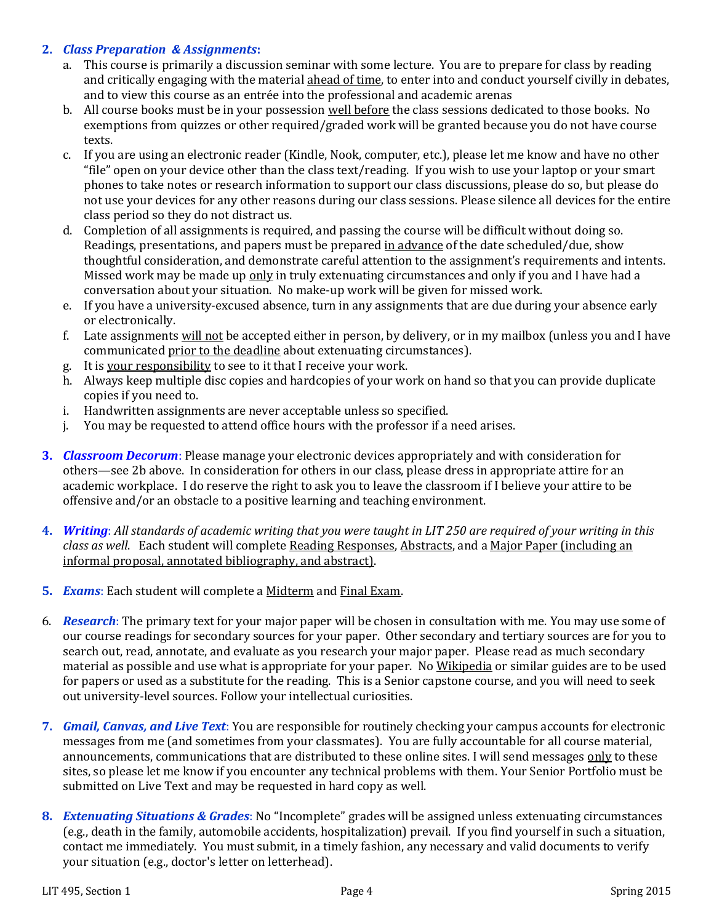#### **2.** *Class Preparation & Assignments***:**

- a. This course is primarily a discussion seminar with some lecture. You are to prepare for class by reading and critically engaging with the material ahead of time, to enter into and conduct yourself civilly in debates, and to view this course as an entrée into the professional and academic arenas
- b. All course books must be in your possession well before the class sessions dedicated to those books. No exemptions from quizzes or other required/graded work will be granted because you do not have course texts.
- c. If you are using an electronic reader (Kindle, Nook, computer, etc.), please let me know and have no other "file" open on your device other than the class text/reading. If you wish to use your laptop or your smart phones to take notes or research information to support our class discussions, please do so, but please do not use your devices for any other reasons during our class sessions. Please silence all devices for the entire class period so they do not distract us.
- d. Completion of all assignments is required, and passing the course will be difficult without doing so. Readings, presentations, and papers must be prepared in advance of the date scheduled/due, show thoughtful consideration, and demonstrate careful attention to the assignment's requirements and intents. Missed work may be made up only in truly extenuating circumstances and only if you and I have had a conversation about your situation. No make-up work will be given for missed work.
- e. If you have a university-excused absence, turn in any assignments that are due during your absence early or electronically.
- f. Late assignments will not be accepted either in person, by delivery, or in my mailbox (unless you and I have communicated prior to the deadline about extenuating circumstances).
- g. It is your responsibility to see to it that I receive your work.
- h. Always keep multiple disc copies and hardcopies of your work on hand so that you can provide duplicate copies if you need to.
- i. Handwritten assignments are never acceptable unless so specified.
- j. You may be requested to attend office hours with the professor if a need arises.
- **3.** *Classroom Decorum*: Please manage your electronic devices appropriately and with consideration for others—see 2b above. In consideration for others in our class, please dress in appropriate attire for an academic workplace. I do reserve the right to ask you to leave the classroom if I believe your attire to be offensive and/or an obstacle to a positive learning and teaching environment.
- **4.** *Writing*: *All standards of academic writing that you were taught in LIT 250 are required of your writing in this class as well*. Each student will complete Reading Responses, Abstracts, and a Major Paper (including an informal proposal, annotated bibliography, and abstract).
- **5.** *Exams*: Each student will complete a Midterm and Final Exam.
- 6. *Research*: The primary text for your major paper will be chosen in consultation with me. You may use some of our course readings for secondary sources for your paper. Other secondary and tertiary sources are for you to search out, read, annotate, and evaluate as you research your major paper. Please read as much secondary material as possible and use what is appropriate for your paper. No Wikipedia or similar guides are to be used for papers or used as a substitute for the reading. This is a Senior capstone course, and you will need to seek out university-level sources. Follow your intellectual curiosities.
- **7.** *Gmail, Canvas, and Live Text*: You are responsible for routinely checking your campus accounts for electronic messages from me (and sometimes from your classmates). You are fully accountable for all course material, announcements, communications that are distributed to these online sites. I will send messages only to these sites, so please let me know if you encounter any technical problems with them. Your Senior Portfolio must be submitted on Live Text and may be requested in hard copy as well.
- **8.** *Extenuating Situations & Grades*: No "Incomplete" grades will be assigned unless extenuating circumstances (e.g., death in the family, automobile accidents, hospitalization) prevail. If you find yourself in such a situation, contact me immediately. You must submit, in a timely fashion, any necessary and valid documents to verify your situation (e.g., doctor's letter on letterhead).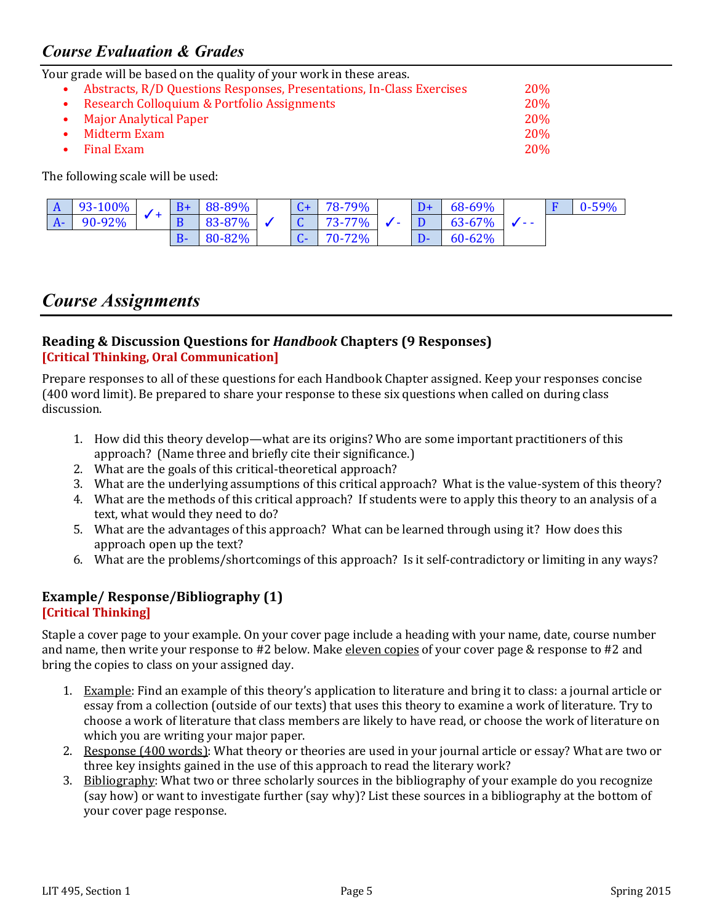### *Course Evaluation & Grades*

Your grade will be based on the quality of your work in these areas.

| Abstracts, R/D Questions Responses, Presentations, In-Class Exercises | 20\%       |
|-----------------------------------------------------------------------|------------|
| Research Colloquium & Portfolio Assignments                           | <b>20%</b> |
| • Major Analytical Paper                                              | <b>20%</b> |
| Midterm Exam                                                          | <b>20%</b> |
| Final Exam                                                            | <b>20%</b> |

The following scale will be used:

| A    | $93-100\%$ |  | 88-89% |  | 78-79% |                          | 68-69% |      | $0 - 59%$ |
|------|------------|--|--------|--|--------|--------------------------|--------|------|-----------|
| $A-$ | 90-92%     |  | 83-87% |  | 73-77% | $\overline{\phantom{a}}$ | 63-67% | $ -$ |           |
|      |            |  | 80-82% |  | 70-72% |                          | 60-62% |      |           |

### *Course Assignments*

#### **Reading & Discussion Questions for** *Handbook* **Chapters (9 Responses) [Critical Thinking, Oral Communication]**

Prepare responses to all of these questions for each Handbook Chapter assigned. Keep your responses concise (400 word limit). Be prepared to share your response to these six questions when called on during class discussion.

- 1. How did this theory develop—what are its origins? Who are some important practitioners of this approach? (Name three and briefly cite their significance.)
- 2. What are the goals of this critical-theoretical approach?
- 3. What are the underlying assumptions of this critical approach? What is the value-system of this theory?
- 4. What are the methods of this critical approach? If students were to apply this theory to an analysis of a text, what would they need to do?
- 5. What are the advantages of this approach? What can be learned through using it? How does this approach open up the text?
- 6. What are the problems/shortcomings of this approach? Is it self-contradictory or limiting in any ways?

# **Example/ Response/Bibliography (1)**

#### **[Critical Thinking]**

Staple a cover page to your example. On your cover page include a heading with your name, date, course number and name, then write your response to #2 below. Make eleven copies of your cover page & response to #2 and bring the copies to class on your assigned day.

- 1. Example: Find an example of this theory's application to literature and bring it to class: a journal article or essay from a collection (outside of our texts) that uses this theory to examine a work of literature. Try to choose a work of literature that class members are likely to have read, or choose the work of literature on which you are writing your major paper.
- 2. Response (400 words): What theory or theories are used in your journal article or essay? What are two or three key insights gained in the use of this approach to read the literary work?
- 3. Bibliography: What two or three scholarly sources in the bibliography of your example do you recognize (say how) or want to investigate further (say why)? List these sources in a bibliography at the bottom of your cover page response.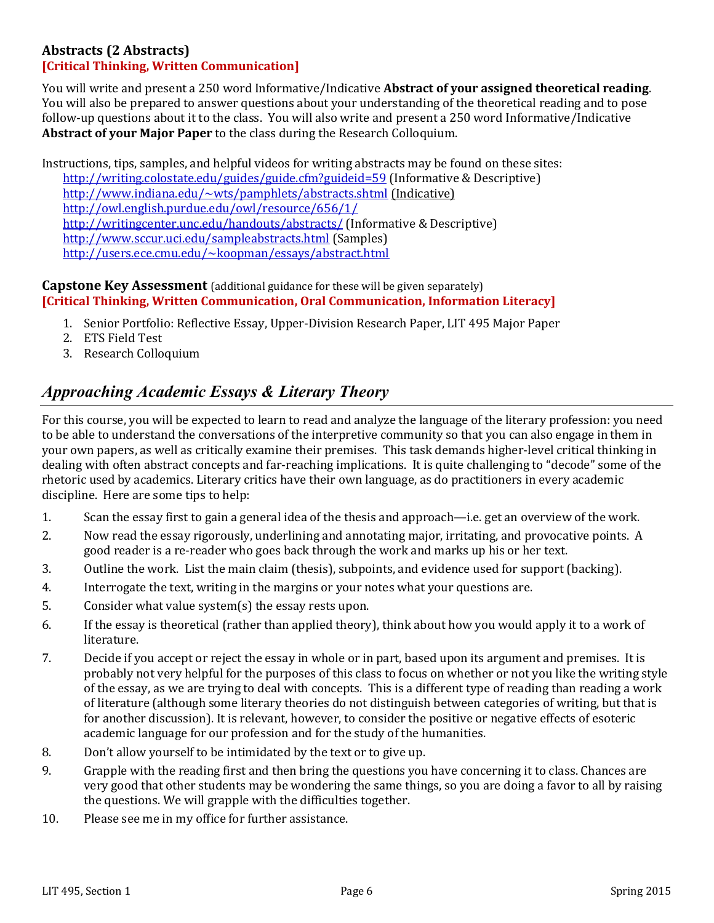#### **Abstracts (2 Abstracts)**

#### **[Critical Thinking, Written Communication]**

You will write and present a 250 word Informative/Indicative **Abstract of your assigned theoretical reading**. You will also be prepared to answer questions about your understanding of the theoretical reading and to pose follow-up questions about it to the class. You will also write and present a 250 word Informative/Indicative **Abstract of your Major Paper** to the class during the Research Colloquium.

Instructions, tips, samples, and helpful videos for writing abstracts may be found on these sites: <http://writing.colostate.edu/guides/guide.cfm?guideid=59> (Informative & Descriptive) <http://www.indiana.edu/~wts/pamphlets/abstracts.shtml> (Indicative) <http://owl.english.purdue.edu/owl/resource/656/1/> <http://writingcenter.unc.edu/handouts/abstracts/> (Informative & Descriptive) <http://www.sccur.uci.edu/sampleabstracts.html> (Samples) <http://users.ece.cmu.edu/~koopman/essays/abstract.html>

#### **Capstone Key Assessment** (additional guidance for these will be given separately) **[Critical Thinking, Written Communication, Oral Communication, Information Literacy]**

- 1. Senior Portfolio: Reflective Essay, Upper-Division Research Paper, LIT 495 Major Paper
- 2. ETS Field Test
- 3. Research Colloquium

### *Approaching Academic Essays & Literary Theory*

For this course, you will be expected to learn to read and analyze the language of the literary profession: you need to be able to understand the conversations of the interpretive community so that you can also engage in them in your own papers, as well as critically examine their premises. This task demands higher-level critical thinking in dealing with often abstract concepts and far-reaching implications. It is quite challenging to "decode" some of the rhetoric used by academics. Literary critics have their own language, as do practitioners in every academic discipline. Here are some tips to help:

- 1. Scan the essay first to gain a general idea of the thesis and approach—i.e. get an overview of the work.
- 2. Now read the essay rigorously, underlining and annotating major, irritating, and provocative points. A good reader is a re-reader who goes back through the work and marks up his or her text.
- 3. Outline the work. List the main claim (thesis), subpoints, and evidence used for support (backing).
- 4. Interrogate the text, writing in the margins or your notes what your questions are.
- 5. Consider what value system(s) the essay rests upon.
- 6. If the essay is theoretical (rather than applied theory), think about how you would apply it to a work of literature.
- 7. Decide if you accept or reject the essay in whole or in part, based upon its argument and premises. It is probably not very helpful for the purposes of this class to focus on whether or not you like the writing style of the essay, as we are trying to deal with concepts. This is a different type of reading than reading a work of literature (although some literary theories do not distinguish between categories of writing, but that is for another discussion). It is relevant, however, to consider the positive or negative effects of esoteric academic language for our profession and for the study of the humanities.
- 8. Don't allow yourself to be intimidated by the text or to give up.
- 9. Grapple with the reading first and then bring the questions you have concerning it to class. Chances are very good that other students may be wondering the same things, so you are doing a favor to all by raising the questions. We will grapple with the difficulties together.
- 10. Please see me in my office for further assistance.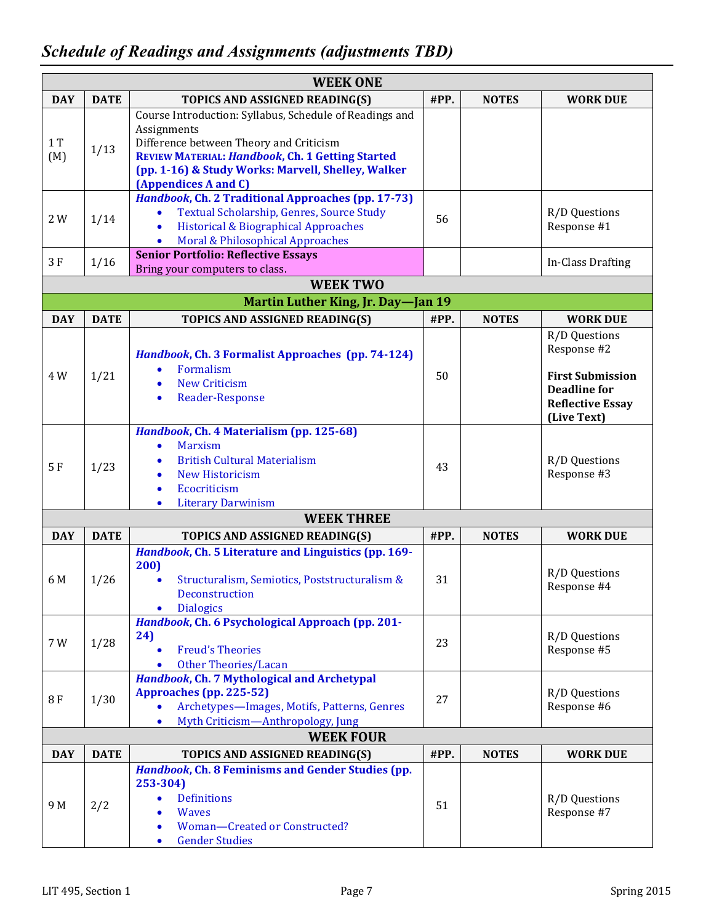| <b>WEEK ONE</b> |             |                                                                                                                                                                                                                                                            |      |              |                                                                                                                          |  |  |  |  |  |
|-----------------|-------------|------------------------------------------------------------------------------------------------------------------------------------------------------------------------------------------------------------------------------------------------------------|------|--------------|--------------------------------------------------------------------------------------------------------------------------|--|--|--|--|--|
| <b>DAY</b>      | <b>DATE</b> | TOPICS AND ASSIGNED READING(S)                                                                                                                                                                                                                             | #PP. | <b>NOTES</b> | <b>WORK DUE</b>                                                                                                          |  |  |  |  |  |
| 1T<br>(M)       | 1/13        | Course Introduction: Syllabus, Schedule of Readings and<br>Assignments<br>Difference between Theory and Criticism<br><b>REVIEW MATERIAL: Handbook, Ch. 1 Getting Started</b><br>(pp. 1-16) & Study Works: Marvell, Shelley, Walker<br>(Appendices A and C) |      |              |                                                                                                                          |  |  |  |  |  |
| 2 W             | 1/14        | Handbook, Ch. 2 Traditional Approaches (pp. 17-73)<br>Textual Scholarship, Genres, Source Study<br>$\bullet$<br>Historical & Biographical Approaches<br>$\bullet$<br>Moral & Philosophical Approaches<br>$\bullet$                                         | 56   |              | R/D Questions<br>Response #1                                                                                             |  |  |  |  |  |
| 3F              | 1/16        | <b>Senior Portfolio: Reflective Essays</b><br>Bring your computers to class.                                                                                                                                                                               |      |              | In-Class Drafting                                                                                                        |  |  |  |  |  |
|                 |             | <b>WEEK TWO</b>                                                                                                                                                                                                                                            |      |              |                                                                                                                          |  |  |  |  |  |
|                 |             | Martin Luther King, Jr. Day-Jan 19                                                                                                                                                                                                                         |      |              |                                                                                                                          |  |  |  |  |  |
| <b>DAY</b>      | <b>DATE</b> | TOPICS AND ASSIGNED READING(S)                                                                                                                                                                                                                             | #PP. | <b>NOTES</b> | <b>WORK DUE</b>                                                                                                          |  |  |  |  |  |
| 4 W             | 1/21        | Handbook, Ch. 3 Formalist Approaches (pp. 74-124)<br>Formalism<br>$\bullet$<br><b>New Criticism</b><br><b>Reader-Response</b><br>$\bullet$                                                                                                                 | 50   |              | R/D Questions<br>Response #2<br><b>First Submission</b><br><b>Deadline for</b><br><b>Reflective Essay</b><br>(Live Text) |  |  |  |  |  |
| 5F              | 1/23        | Handbook, Ch. 4 Materialism (pp. 125-68)<br><b>Marxism</b><br>$\bullet$<br><b>British Cultural Materialism</b><br><b>New Historicism</b><br>Ecocriticism<br>$\bullet$<br><b>Literary Darwinism</b><br>$\bullet$                                            | 43   |              | R/D Questions<br>Response #3                                                                                             |  |  |  |  |  |
|                 |             | <b>WEEK THREE</b>                                                                                                                                                                                                                                          |      |              |                                                                                                                          |  |  |  |  |  |
| <b>DAY</b>      | <b>DATE</b> | TOPICS AND ASSIGNED READING(S)                                                                                                                                                                                                                             | #PP. | <b>NOTES</b> | <b>WORK DUE</b>                                                                                                          |  |  |  |  |  |
| 6 M             | 1/26        | Handbook, Ch. 5 Literature and Linguistics (pp. 169-<br>200)<br>Structuralism, Semiotics, Poststructuralism &<br>$\bullet$<br>Deconstruction<br><b>Dialogics</b>                                                                                           | 31   |              | R/D Questions<br>Response #4                                                                                             |  |  |  |  |  |
| 7 W             | 1/28        | Handbook, Ch. 6 Psychological Approach (pp. 201-<br>24)<br><b>Freud's Theories</b><br>$\bullet$<br><b>Other Theories/Lacan</b>                                                                                                                             | 23   |              | R/D Questions<br>Response #5                                                                                             |  |  |  |  |  |
| 8F              | 1/30        | Handbook, Ch. 7 Mythological and Archetypal<br>Approaches (pp. 225-52)<br>Archetypes-Images, Motifs, Patterns, Genres<br>$\bullet$<br>Myth Criticism-Anthropology, Jung<br>$\bullet$                                                                       | 27   |              | R/D Questions<br>Response #6                                                                                             |  |  |  |  |  |
|                 |             | <b>WEEK FOUR</b>                                                                                                                                                                                                                                           |      |              |                                                                                                                          |  |  |  |  |  |
| <b>DAY</b>      | <b>DATE</b> | TOPICS AND ASSIGNED READING(S)                                                                                                                                                                                                                             | #PP. | <b>NOTES</b> | <b>WORK DUE</b>                                                                                                          |  |  |  |  |  |
| 9 M             | 2/2         | Handbook, Ch. 8 Feminisms and Gender Studies (pp.<br>253-304)<br><b>Definitions</b><br>$\bullet$<br><b>Waves</b><br>Woman-Created or Constructed?<br>$\bullet$<br><b>Gender Studies</b><br>$\bullet$                                                       | 51   |              | R/D Questions<br>Response #7                                                                                             |  |  |  |  |  |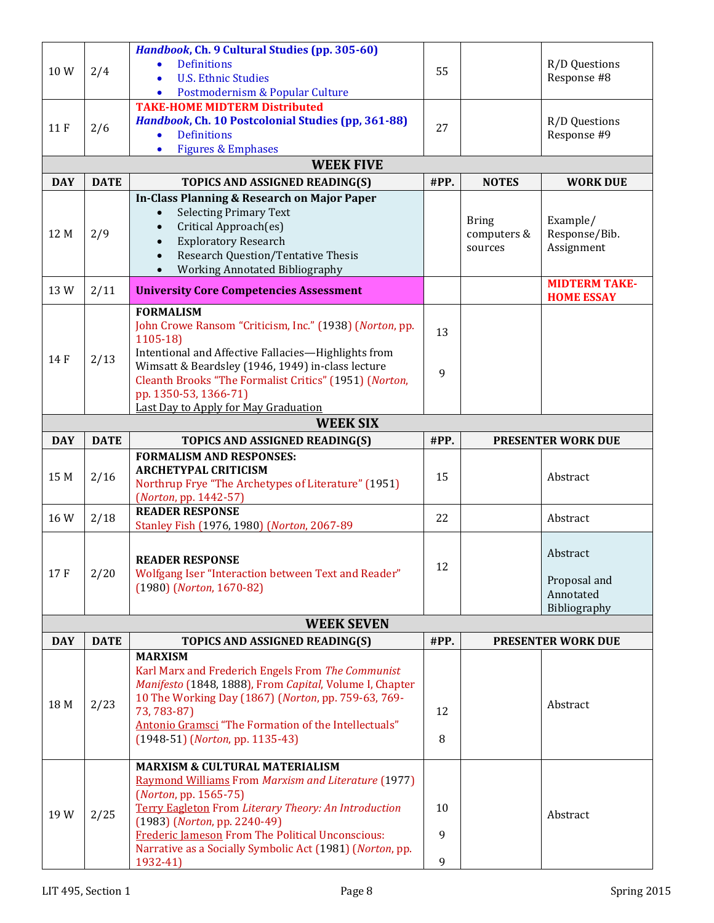|            |             | Handbook, Ch. 9 Cultural Studies (pp. 305-60)                           |      |              |                           |
|------------|-------------|-------------------------------------------------------------------------|------|--------------|---------------------------|
|            |             | <b>Definitions</b>                                                      |      |              | R/D Questions             |
| 10W        | 2/4         | <b>U.S. Ethnic Studies</b>                                              | 55   |              | Response #8               |
|            |             | Postmodernism & Popular Culture<br>$\bullet$                            |      |              |                           |
|            |             | <b>TAKE-HOME MIDTERM Distributed</b>                                    |      |              |                           |
|            |             | Handbook, Ch. 10 Postcolonial Studies (pp, 361-88)                      |      |              | R/D Questions             |
| 11 F       | 2/6         | <b>Definitions</b><br>$\bullet$                                         | 27   |              | Response #9               |
|            |             | <b>Figures &amp; Emphases</b><br>$\bullet$                              |      |              |                           |
|            |             | <b>WEEK FIVE</b>                                                        |      |              |                           |
| <b>DAY</b> | <b>DATE</b> | TOPICS AND ASSIGNED READING(S)                                          | #PP. | <b>NOTES</b> | <b>WORK DUE</b>           |
|            |             | In-Class Planning & Research on Major Paper                             |      |              |                           |
|            |             | <b>Selecting Primary Text</b><br>$\bullet$                              |      |              |                           |
|            |             | Critical Approach(es)                                                   |      | <b>Bring</b> | Example/                  |
| 12 M       | 2/9         | <b>Exploratory Research</b>                                             |      | computers &  | Response/Bib.             |
|            |             | <b>Research Question/Tentative Thesis</b><br>$\bullet$                  |      | sources      | Assignment                |
|            |             | Working Annotated Bibliography                                          |      |              |                           |
| 13W        | 2/11        | <b>University Core Competencies Assessment</b>                          |      |              | <b>MIDTERM TAKE-</b>      |
|            |             |                                                                         |      |              | <b>HOME ESSAY</b>         |
|            |             | <b>FORMALISM</b>                                                        |      |              |                           |
|            |             | John Crowe Ransom "Criticism, Inc." (1938) (Norton, pp.                 | 13   |              |                           |
|            |             | $1105-18$<br>Intentional and Affective Fallacies-Highlights from        |      |              |                           |
| 14 F       | 2/13        | Wimsatt & Beardsley (1946, 1949) in-class lecture                       |      |              |                           |
|            |             | Cleanth Brooks "The Formalist Critics" (1951) (Norton,                  | 9    |              |                           |
|            |             | pp. 1350-53, 1366-71)                                                   |      |              |                           |
|            |             | Last Day to Apply for May Graduation                                    |      |              |                           |
|            |             | <b>WEEK SIX</b>                                                         |      |              |                           |
| <b>DAY</b> | <b>DATE</b> | TOPICS AND ASSIGNED READING(S)                                          | #PP. |              | <b>PRESENTER WORK DUE</b> |
|            |             | <b>FORMALISM AND RESPONSES:</b>                                         |      |              |                           |
|            |             | <b>ARCHETYPAL CRITICISM</b>                                             |      |              |                           |
| 15 M       | 2/16        | Northrup Frye "The Archetypes of Literature" (1951)                     | 15   |              | Abstract                  |
|            |             | (Norton, pp. 1442-57)                                                   |      |              |                           |
| 16W        | 2/18        | <b>READER RESPONSE</b>                                                  | 22   |              | Abstract                  |
|            |             | Stanley Fish (1976, 1980) (Norton, 2067-89                              |      |              |                           |
|            |             |                                                                         |      |              |                           |
|            |             | <b>READER RESPONSE</b>                                                  |      |              | Abstract                  |
| 17F        | 2/20        | Wolfgang Iser "Interaction between Text and Reader"                     | 12   |              | Proposal and              |
|            |             | $(1980)$ (Norton, 1670-82)                                              |      |              | Annotated                 |
|            |             |                                                                         |      |              | Bibliography              |
|            |             | <b>WEEK SEVEN</b>                                                       |      |              |                           |
| <b>DAY</b> | <b>DATE</b> |                                                                         |      |              | PRESENTER WORK DUE        |
|            |             |                                                                         |      |              |                           |
|            |             | TOPICS AND ASSIGNED READING(S)                                          | #PP. |              |                           |
|            |             | <b>MARXISM</b>                                                          |      |              |                           |
|            |             | Karl Marx and Frederich Engels From The Communist                       |      |              |                           |
|            |             | Manifesto (1848, 1888), From Capital, Volume I, Chapter                 |      |              |                           |
| 18 M       | 2/23        | 10 The Working Day (1867) (Norton, pp. 759-63, 769-<br>73, 783-87)      | 12   |              | Abstract                  |
|            |             | Antonio Gramsci "The Formation of the Intellectuals"                    |      |              |                           |
|            |             | (1948-51) (Norton, pp. 1135-43)                                         | 8    |              |                           |
|            |             |                                                                         |      |              |                           |
|            |             | <b>MARXISM &amp; CULTURAL MATERIALISM</b>                               |      |              |                           |
|            |             | <b>Raymond Williams From Marxism and Literature (1977)</b>              |      |              |                           |
|            |             | (Norton, pp. 1565-75)                                                   |      |              |                           |
| 19W        | 2/25        | Terry Eagleton From Literary Theory: An Introduction                    | 10   |              | Abstract                  |
|            |             | $(1983)$ (Norton, pp. 2240-49)                                          |      |              |                           |
|            |             | <b>Frederic Jameson From The Political Unconscious:</b>                 | 9    |              |                           |
|            |             | Narrative as a Socially Symbolic Act (1981) (Norton, pp.<br>$1932 - 41$ | 9    |              |                           |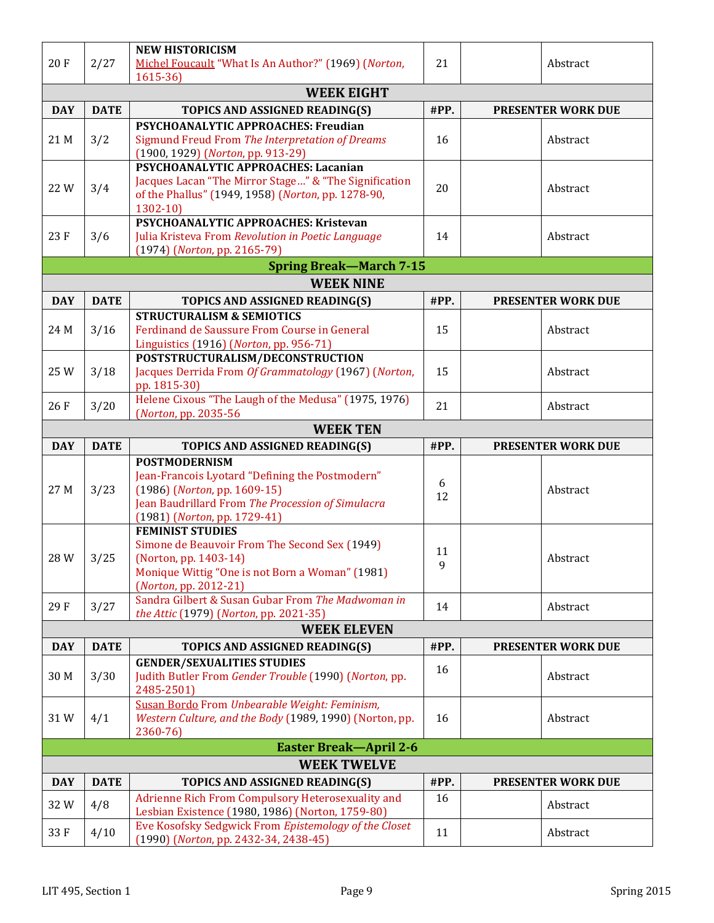| 20F               | 2/27        | <b>NEW HISTORICISM</b><br>Michel Foucault "What Is An Author?" (1969) (Norton,<br>$1615 - 36$                                                                                                | 21      | Abstract                  |  |  |  |  |  |
|-------------------|-------------|----------------------------------------------------------------------------------------------------------------------------------------------------------------------------------------------|---------|---------------------------|--|--|--|--|--|
| <b>WEEK EIGHT</b> |             |                                                                                                                                                                                              |         |                           |  |  |  |  |  |
| <b>DAY</b>        | <b>DATE</b> | TOPICS AND ASSIGNED READING(S)                                                                                                                                                               | #PP.    | <b>PRESENTER WORK DUE</b> |  |  |  |  |  |
| 21 M              | 3/2         | <b>PSYCHOANALYTIC APPROACHES: Freudian</b><br>Sigmund Freud From The Interpretation of Dreams<br>(1900, 1929) (Norton, pp. 913-29)                                                           | 16      | Abstract                  |  |  |  |  |  |
| 22W               | 3/4         | PSYCHOANALYTIC APPROACHES: Lacanian<br>Jacques Lacan "The Mirror Stage" & "The Signification<br>of the Phallus" (1949, 1958) (Norton, pp. 1278-90,<br>$1302 - 10$                            | 20      | Abstract                  |  |  |  |  |  |
| 23F               | 3/6         | PSYCHOANALYTIC APPROACHES: Kristevan<br>Julia Kristeva From Revolution in Poetic Language<br>(1974) (Norton, pp. 2165-79)                                                                    | 14      | Abstract                  |  |  |  |  |  |
|                   |             | <b>Spring Break-March 7-15</b>                                                                                                                                                               |         |                           |  |  |  |  |  |
|                   |             | <b>WEEK NINE</b>                                                                                                                                                                             |         |                           |  |  |  |  |  |
| <b>DAY</b>        | <b>DATE</b> | TOPICS AND ASSIGNED READING(S)                                                                                                                                                               | #PP.    | <b>PRESENTER WORK DUE</b> |  |  |  |  |  |
| 24 M              | 3/16        | <b>STRUCTURALISM &amp; SEMIOTICS</b><br>Ferdinand de Saussure From Course in General<br>Linguistics (1916) (Norton, pp. 956-71)                                                              | 15      | Abstract                  |  |  |  |  |  |
| 25 W              | 3/18        | POSTSTRUCTURALISM/DECONSTRUCTION<br>Jacques Derrida From Of Grammatology (1967) (Norton,<br>pp. 1815-30)                                                                                     | 15      | Abstract                  |  |  |  |  |  |
| 26F               | 3/20        | Helene Cixous "The Laugh of the Medusa" (1975, 1976)<br>(Norton, pp. 2035-56)                                                                                                                | 21      | Abstract                  |  |  |  |  |  |
|                   |             | <b>WEEK TEN</b>                                                                                                                                                                              |         |                           |  |  |  |  |  |
| <b>DAY</b>        | <b>DATE</b> | TOPICS AND ASSIGNED READING(S)                                                                                                                                                               | #PP.    | <b>PRESENTER WORK DUE</b> |  |  |  |  |  |
| 27 M              | 3/23        | <b>POSTMODERNISM</b><br>Jean-Francois Lyotard "Defining the Postmodern"<br>(1986) (Norton, pp. 1609-15)<br>Jean Baudrillard From The Procession of Simulacra<br>(1981) (Norton, pp. 1729-41) | 6<br>12 | Abstract                  |  |  |  |  |  |
| 28W               | 3/25        | <b>FEMINIST STUDIES</b><br>Simone de Beauvoir From The Second Sex (1949)<br>(Norton, pp. 1403-14)<br>Monique Wittig "One is not Born a Woman" (1981)<br>(Norton, pp. 2012-21)                | 11<br>9 | Abstract                  |  |  |  |  |  |
| 29F               | 3/27        | Sandra Gilbert & Susan Gubar From The Madwoman in                                                                                                                                            | 14      | Abstract                  |  |  |  |  |  |
|                   |             | the Attic (1979) (Norton, pp. 2021-35)<br><b>WEEK ELEVEN</b>                                                                                                                                 |         |                           |  |  |  |  |  |
| <b>DAY</b>        | <b>DATE</b> | TOPICS AND ASSIGNED READING(S)                                                                                                                                                               | #PP.    | PRESENTER WORK DUE        |  |  |  |  |  |
|                   |             | <b>GENDER/SEXUALITIES STUDIES</b>                                                                                                                                                            |         |                           |  |  |  |  |  |
| 30 M              | 3/30        | Judith Butler From Gender Trouble (1990) (Norton, pp.<br>2485-2501)                                                                                                                          | 16      | Abstract                  |  |  |  |  |  |
| 31W               | 4/1         | Susan Bordo From Unbearable Weight: Feminism,<br>Western Culture, and the Body (1989, 1990) (Norton, pp.<br>2360-76)                                                                         | 16      | Abstract                  |  |  |  |  |  |
|                   |             | <b>Easter Break-April 2-6</b>                                                                                                                                                                |         |                           |  |  |  |  |  |
|                   |             | <b>WEEK TWELVE</b>                                                                                                                                                                           |         |                           |  |  |  |  |  |
| <b>DAY</b>        | <b>DATE</b> | TOPICS AND ASSIGNED READING(S)                                                                                                                                                               | #PP.    | PRESENTER WORK DUE        |  |  |  |  |  |
| 32W               | 4/8         | Adrienne Rich From Compulsory Heterosexuality and<br>Lesbian Existence (1980, 1986) (Norton, 1759-80)                                                                                        | 16      | Abstract                  |  |  |  |  |  |
| 33 F              | 4/10        | Eve Kosofsky Sedgwick From Epistemology of the Closet<br>(1990) (Norton, pp. 2432-34, 2438-45)                                                                                               | 11      | Abstract                  |  |  |  |  |  |